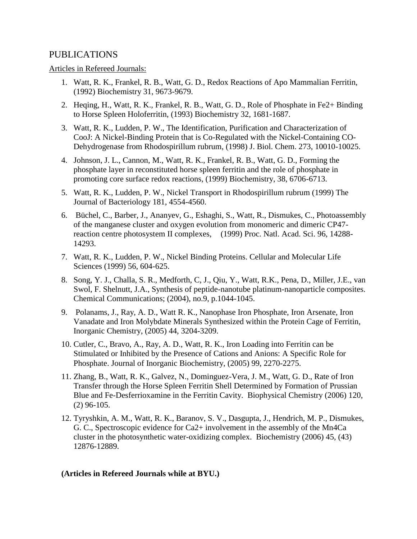## PUBLICATIONS

## Articles in Refereed Journals:

- 1. Watt, R. K., Frankel, R. B., Watt, G. D., Redox Reactions of Apo Mammalian Ferritin, (1992) Biochemistry 31, 9673-9679.
- 2. Heqing, H., Watt, R. K., Frankel, R. B., Watt, G. D., Role of Phosphate in Fe2+ Binding to Horse Spleen Holoferritin, (1993) Biochemistry 32, 1681-1687.
- 3. Watt, R. K., Ludden, P. W., The Identification, Purification and Characterization of CooJ: A Nickel-Binding Protein that is Co-Regulated with the Nickel-Containing CO-Dehydrogenase from Rhodospirillum rubrum, (1998) J. Biol. Chem. 273, 10010-10025.
- 4. Johnson, J. L., Cannon, M., Watt, R. K., Frankel, R. B., Watt, G. D., Forming the phosphate layer in reconstituted horse spleen ferritin and the role of phosphate in promoting core surface redox reactions, (1999) Biochemistry, 38, 6706-6713.
- 5. Watt, R. K., Ludden, P. W., Nickel Transport in Rhodospirillum rubrum (1999) The Journal of Bacteriology 181, 4554-4560.
- 6. Büchel, C., Barber, J., Ananyev, G., Eshaghi, S., Watt, R., Dismukes, C., Photoassembly of the manganese cluster and oxygen evolution from monomeric and dimeric CP47 reaction centre photosystem II complexes, (1999) Proc. Natl. Acad. Sci. 96, 14288- 14293.
- 7. Watt, R. K., Ludden, P. W., Nickel Binding Proteins. Cellular and Molecular Life Sciences (1999) 56, 604-625.
- 8. Song, Y. J., Challa, S. R., Medforth, C, J., Qiu, Y., Watt, R.K., Pena, D., Miller, J.E., van Swol, F. Shelnutt, J.A., Synthesis of peptide-nanotube platinum-nanoparticle composites. Chemical Communications; (2004), no.9, p.1044-1045.
- 9. Polanams, J., Ray, A. D., Watt R. K., Nanophase Iron Phosphate, Iron Arsenate, Iron Vanadate and Iron Molybdate Minerals Synthesized within the Protein Cage of Ferritin, Inorganic Chemistry, (2005) 44, 3204-3209.
- 10. Cutler, C., Bravo, A., Ray, A. D., Watt, R. K., Iron Loading into Ferritin can be Stimulated or Inhibited by the Presence of Cations and Anions: A Specific Role for Phosphate. Journal of Inorganic Biochemistry, (2005) 99, 2270-2275.
- 11. Zhang, B., Watt, R. K., Galvez, N., Dominguez-Vera, J. M., Watt, G. D., Rate of Iron Transfer through the Horse Spleen Ferritin Shell Determined by Formation of Prussian Blue and Fe-Desferrioxamine in the Ferritin Cavity. Biophysical Chemistry (2006) 120, (2) 96-105.
- 12. Tyryshkin, A. M., Watt, R. K., Baranov, S. V., Dasgupta, J., Hendrich, M. P., Dismukes, G. C., Spectroscopic evidence for Ca2+ involvement in the assembly of the Mn4Ca cluster in the photosynthetic water-oxidizing complex. Biochemistry (2006) 45, (43) 12876-12889.

## **(Articles in Refereed Journals while at BYU.)**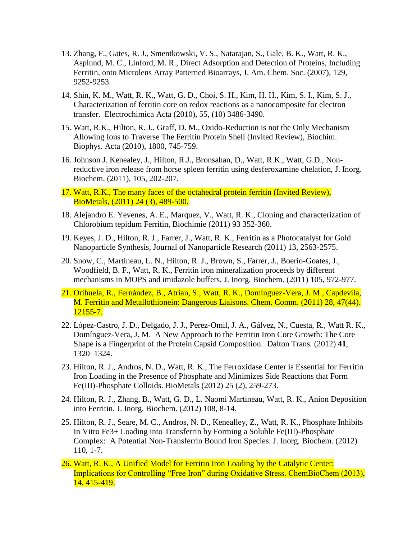- 13. Zhang, F., Gates, R. J., Smentkowski, V. S., Natarajan, S., Gale, B. K., Watt, R. K., Asplund, M. C., Linford, M. R., Direct Adsorption and Detection of Proteins, Including Ferritin, onto Microlens Array Patterned Bioarrays, J. Am. Chem. Soc. (2007), 129, 9252-9253.
- 14. Shin, K. M., Watt, R. K., Watt, G. D., Choi, S. H., Kim, H. H., Kim, S. I., Kim, S. J., Characterization of ferritin core on redox reactions as a nanocomposite for electron transfer. Electrochimica Acta (2010), 55, (10) 3486-3490.
- 15. Watt, R.K., Hilton, R. J., Graff, D. M., Oxido-Reduction is not the Only Mechanism Allowing Ions to Traverse The Ferritin Protein Shell (Invited Review), Biochim. Biophys. Acta (2010), 1800, 745-759.
- 16. Johnson J. Kenealey, J., Hilton, R.J., Bronsahan, D., Watt, R.K., Watt, G.D., Nonreductive iron release from horse spleen ferritin using desferoxamine chelation, J. Inorg. Biochem. (2011), 105, 202-207.
- 17. Watt, R.K., The many faces of the octahedral protein ferritin (Invited Review), BioMetals, (2011) 24 (3), 489-500.
- 18. Alejandro E. Yevenes, A. E., Marquez, V., Watt, R. K., Cloning and characterization of Chlorobium tepidum Ferritin, Biochimie (2011) 93 352-360.
- 19. Keyes, J. D., Hilton, R. J., Farrer, J., Watt, R. K., Ferritin as a Photocatalyst for Gold Nanoparticle Synthesis, Journal of Nanoparticle Research (2011) 13, 2563-2575.
- 20. Snow, C., Martineau, L. N., Hilton, R. J., Brown, S., Farrer, J., Boerio-Goates, J., Woodfield, B. F., Watt, R. K., Ferritin iron mineralization proceeds by different mechanisms in MOPS and imidazole buffers, J. Inorg. Biochem. (2011) 105, 972-977.
- 21. Orihuela, R., Fernández, B., Atrian, S., Watt, R. K., Domínguez-Vera, J. M., Capdevila, M. Ferritin and Metallothionein: Dangerous Liaisons. Chem. Comm. (2011) 28, 47(44). 12155-7.
- 22. López-Castro, J. D., Delgado, J. J., Perez-Omil, J. A., Gálvez, N., Cuesta, R., Watt R. K., Domínguez-Vera, J. M. A New Approach to the Ferritin Iron Core Growth: The Core Shape is a Fingerprint of the Protein Capsid Composition. Dalton Trans*.* (2012) **41**, 1320–1324.
- 23. Hilton, R. J., Andros, N. D., Watt, R. K., The Ferroxidase Center is Essential for Ferritin Iron Loading in the Presence of Phosphate and Minimizes Side Reactions that Form Fe(III)-Phosphate Colloids. BioMetals (2012) 25 (2), 259-273.
- 24. Hilton, R. J., Zhang, B., Watt, G. D., L. Naomi Martineau, Watt, R. K., Anion Deposition into Ferritin. J. Inorg. Biochem. (2012) 108, 8-14.
- 25. Hilton, R. J., Seare, M. C., Andros, N. D., Kenealley, Z., Watt, R. K., Phosphate Inhibits In Vitro Fe3+ Loading into Transferrin by Forming a Soluble Fe(III)-Phosphate Complex: A Potential Non-Transferrin Bound Iron Species. J. Inorg. Biochem. (2012) 110, 1-7.
- 26. Watt, R. K., A Unified Model for Ferritin Iron Loading by the Catalytic Center: Implications for Controlling "Free Iron" during Oxidative Stress. ChemBioChem (2013), 14, 415-419.